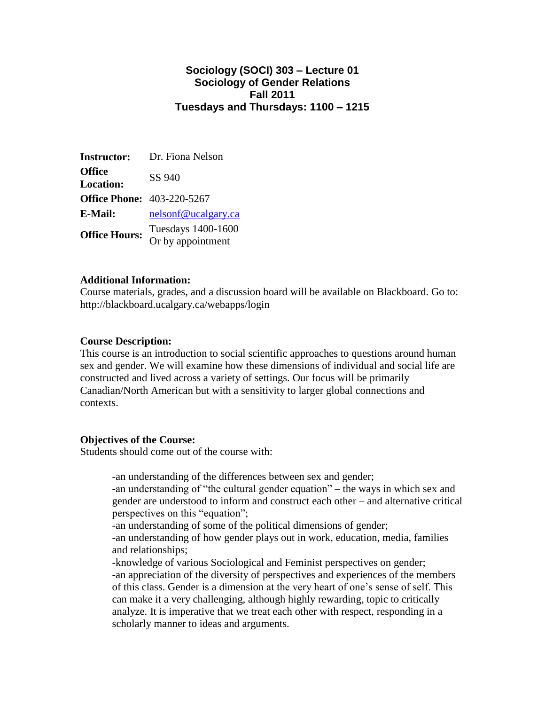## **Sociology (SOCI) 303 – Lecture 01 Sociology of Gender Relations Fall 2011 Tuesdays and Thursdays: 1100 – 1215**

| <b>Instructor:</b>                | Dr. Fiona Nelson                        |
|-----------------------------------|-----------------------------------------|
| Office<br><b>Location:</b>        | SS 940                                  |
| <b>Office Phone: 403-220-5267</b> |                                         |
| <b>E-Mail:</b>                    | nelsonf@ucalgary.ca                     |
| <b>Office Hours:</b>              | Tuesdays 1400-1600<br>Or by appointment |
|                                   |                                         |

## **Additional Information:**

Course materials, grades, and a discussion board will be available on Blackboard. Go to: http://blackboard.ucalgary.ca/webapps/login

## **Course Description:**

This course is an introduction to social scientific approaches to questions around human sex and gender. We will examine how these dimensions of individual and social life are constructed and lived across a variety of settings. Our focus will be primarily Canadian/North American but with a sensitivity to larger global connections and contexts.

## **Objectives of the Course:**

Students should come out of the course with:

-an understanding of the differences between sex and gender; -an understanding of "the cultural gender equation" – the ways in which sex and gender are understood to inform and construct each other – and alternative critical perspectives on this "equation"; -an understanding of some of the political dimensions of gender; -an understanding of how gender plays out in work, education, media, families and relationships; -knowledge of various Sociological and Feminist perspectives on gender; -an appreciation of the diversity of perspectives and experiences of the members of this class. Gender is a dimension at the very heart of one's sense of self. This can make it a very challenging, although highly rewarding, topic to critically analyze. It is imperative that we treat each other with respect, responding in a scholarly manner to ideas and arguments.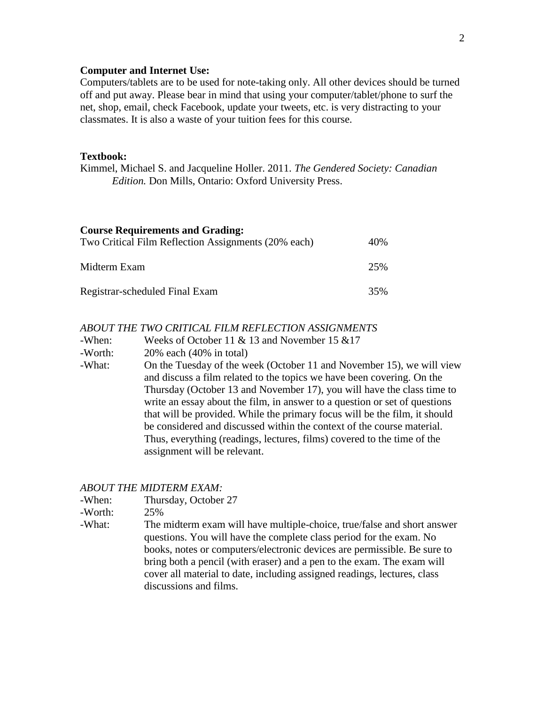#### **Computer and Internet Use:**

Computers/tablets are to be used for note-taking only. All other devices should be turned off and put away. Please bear in mind that using your computer/tablet/phone to surf the net, shop, email, check Facebook, update your tweets, etc. is very distracting to your classmates. It is also a waste of your tuition fees for this course.

#### **Textbook:**

Kimmel, Michael S. and Jacqueline Holler. 2011. *The Gendered Society: Canadian Edition.* Don Mills, Ontario: Oxford University Press.

| <b>Course Requirements and Grading:</b>             |     |
|-----------------------------------------------------|-----|
| Two Critical Film Reflection Assignments (20% each) | 40% |
| Midterm Exam                                        | 25% |
| Registrar-scheduled Final Exam                      | 35% |

## *ABOUT THE TWO CRITICAL FILM REFLECTION ASSIGNMENTS*

-When: Weeks of October 11 & 13 and November 15 &17

- -Worth: 20% each (40% in total)
- -What: On the Tuesday of the week (October 11 and November 15), we will view and discuss a film related to the topics we have been covering. On the Thursday (October 13 and November 17), you will have the class time to write an essay about the film, in answer to a question or set of questions that will be provided. While the primary focus will be the film, it should be considered and discussed within the context of the course material. Thus, everything (readings, lectures, films) covered to the time of the assignment will be relevant.

#### *ABOUT THE MIDTERM EXAM:*

-When: Thursday, October 27

-Worth: 25%

-What: The midterm exam will have multiple-choice, true/false and short answer questions. You will have the complete class period for the exam. No books, notes or computers/electronic devices are permissible. Be sure to bring both a pencil (with eraser) and a pen to the exam. The exam will cover all material to date, including assigned readings, lectures, class discussions and films.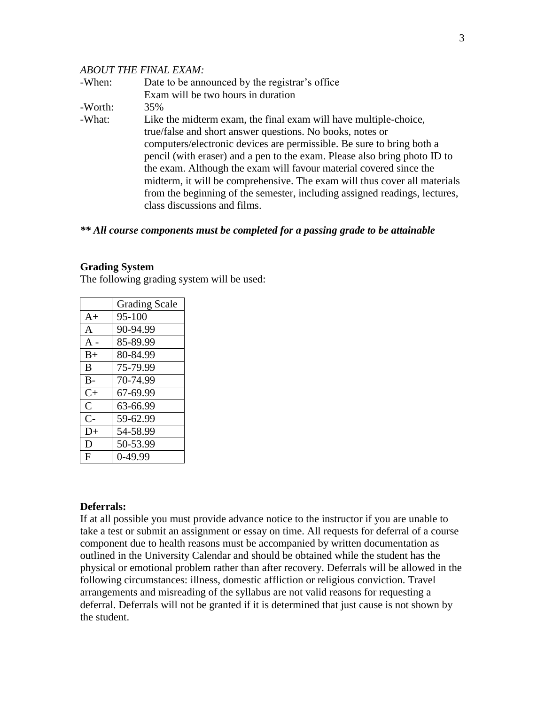#### *ABOUT THE FINAL EXAM:*

| -When:  | Date to be announced by the registrar's office                             |
|---------|----------------------------------------------------------------------------|
|         | Exam will be two hours in duration                                         |
| -Worth: | 35%                                                                        |
| -What:  | Like the midterm exam, the final exam will have multiple-choice,           |
|         | true/false and short answer questions. No books, notes or                  |
|         | computers/electronic devices are permissible. Be sure to bring both a      |
|         | pencil (with eraser) and a pen to the exam. Please also bring photo ID to  |
|         | the exam. Although the exam will favour material covered since the         |
|         | midterm, it will be comprehensive. The exam will thus cover all materials  |
|         | from the beginning of the semester, including assigned readings, lectures, |
|         | class discussions and films.                                               |

## *\*\* All course components must be completed for a passing grade to be attainable*

#### **Grading System**

The following grading system will be used:

|                | <b>Grading Scale</b> |
|----------------|----------------------|
| $A+$           | 95-100               |
| A              | 90-94.99             |
| $A -$          | 85-89.99             |
| $B+$           | 80-84.99             |
| B              | 75-79.99             |
| $B -$          | 70-74.99             |
| $C+$           | 67-69.99             |
| $\overline{C}$ | 63-66.99             |
| $C-$           | 59-62.99             |
| $D+$           | 54-58.99             |
| D              | 50-53.99             |
| F              | 0-49.99              |

#### **Deferrals:**

If at all possible you must provide advance notice to the instructor if you are unable to take a test or submit an assignment or essay on time. All requests for deferral of a course component due to health reasons must be accompanied by written documentation as outlined in the University Calendar and should be obtained while the student has the physical or emotional problem rather than after recovery. Deferrals will be allowed in the following circumstances: illness, domestic affliction or religious conviction. Travel arrangements and misreading of the syllabus are not valid reasons for requesting a deferral. Deferrals will not be granted if it is determined that just cause is not shown by the student.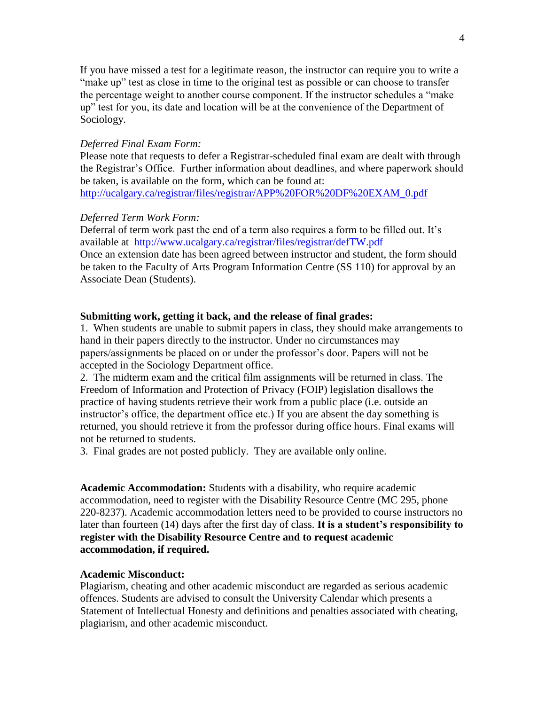If you have missed a test for a legitimate reason, the instructor can require you to write a "make up" test as close in time to the original test as possible or can choose to transfer the percentage weight to another course component. If the instructor schedules a "make up" test for you, its date and location will be at the convenience of the Department of Sociology.

#### *Deferred Final Exam Form:*

Please note that requests to defer a Registrar-scheduled final exam are dealt with through the Registrar's Office. Further information about deadlines, and where paperwork should be taken, is available on the form, which can be found at: [http://ucalgary.ca/registrar/files/registrar/APP%20FOR%20DF%20EXAM\\_0.pdf](http://ucalgary.ca/registrar/files/registrar/APP%20FOR%20DF%20EXAM_0.pdf)

#### *Deferred Term Work Form:*

Deferral of term work past the end of a term also requires a form to be filled out. It's available at <http://www.ucalgary.ca/registrar/files/registrar/defTW.pdf> Once an extension date has been agreed between instructor and student, the form should be taken to the Faculty of Arts Program Information Centre (SS 110) for approval by an Associate Dean (Students).

#### **Submitting work, getting it back, and the release of final grades:**

1. When students are unable to submit papers in class, they should make arrangements to hand in their papers directly to the instructor. Under no circumstances may papers/assignments be placed on or under the professor's door. Papers will not be accepted in the Sociology Department office.

2. The midterm exam and the critical film assignments will be returned in class. The Freedom of Information and Protection of Privacy (FOIP) legislation disallows the practice of having students retrieve their work from a public place (i.e. outside an instructor's office, the department office etc.) If you are absent the day something is returned, you should retrieve it from the professor during office hours. Final exams will not be returned to students.

3. Final grades are not posted publicly. They are available only online.

**Academic Accommodation:** Students with a disability, who require academic accommodation, need to register with the Disability Resource Centre (MC 295, phone 220-8237). Academic accommodation letters need to be provided to course instructors no later than fourteen (14) days after the first day of class. **It is a student's responsibility to register with the Disability Resource Centre and to request academic accommodation, if required.** 

#### **Academic Misconduct:**

Plagiarism, cheating and other academic misconduct are regarded as serious academic offences. Students are advised to consult the University Calendar which presents a Statement of Intellectual Honesty and definitions and penalties associated with cheating, plagiarism, and other academic misconduct.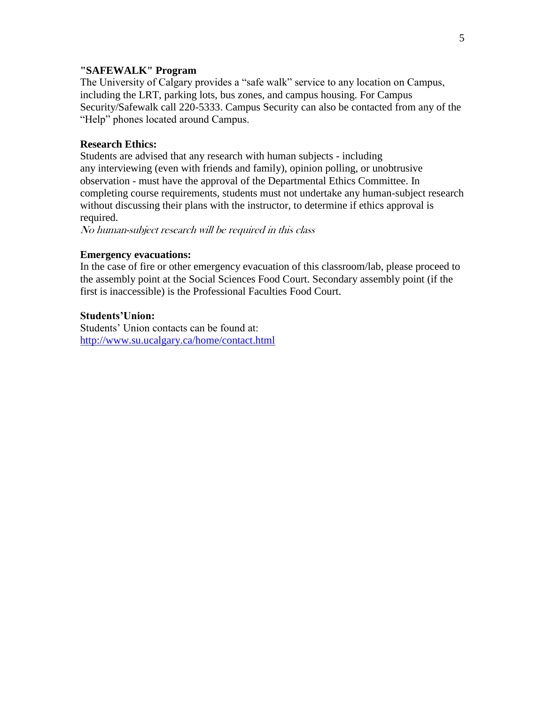## **"SAFEWALK" Program**

The University of Calgary provides a "safe walk" service to any location on Campus, including the LRT, parking lots, bus zones, and campus housing. For Campus Security/Safewalk call 220-5333. Campus Security can also be contacted from any of the "Help" phones located around Campus.

#### **Research Ethics:**

Students are advised that any research with human subjects - including any interviewing (even with friends and family), opinion polling, or unobtrusive observation - must have the approval of the Departmental Ethics Committee. In completing course requirements, students must not undertake any human-subject research without discussing their plans with the instructor, to determine if ethics approval is required.

No human-subject research will be required in this class

## **Emergency evacuations:**

In the case of fire or other emergency evacuation of this classroom/lab, please proceed to the assembly point at the Social Sciences Food Court. Secondary assembly point (if the first is inaccessible) is the Professional Faculties Food Court.

#### **Students'Union:**

Students' Union contacts can be found at: <http://www.su.ucalgary.ca/home/contact.html>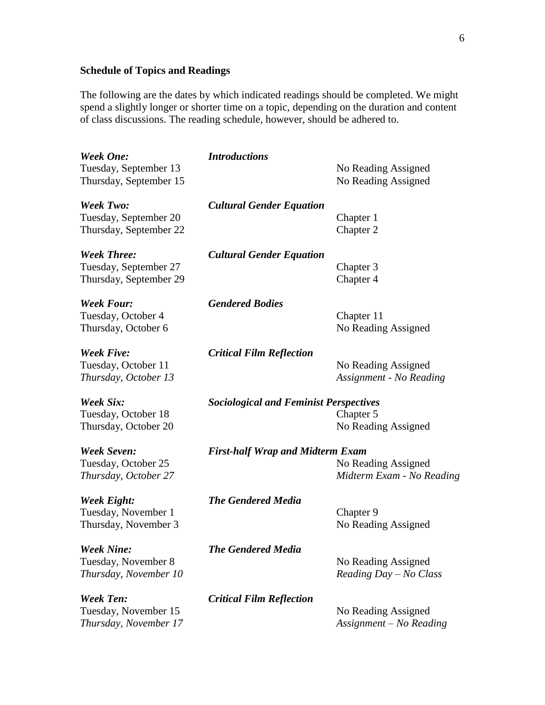## **Schedule of Topics and Readings**

The following are the dates by which indicated readings should be completed. We might spend a slightly longer or shorter time on a topic, depending on the duration and content of class discussions. The reading schedule, however, should be adhered to.

| <b>Week One:</b><br>Tuesday, September 13<br>Thursday, September 15   | <b>Introductions</b>                                                                        | No Reading Assigned<br>No Reading Assigned      |  |
|-----------------------------------------------------------------------|---------------------------------------------------------------------------------------------|-------------------------------------------------|--|
| <b>Week Two:</b><br>Tuesday, September 20<br>Thursday, September 22   | <b>Cultural Gender Equation</b>                                                             | Chapter 1<br>Chapter 2                          |  |
| <b>Week Three:</b><br>Tuesday, September 27<br>Thursday, September 29 | <b>Cultural Gender Equation</b>                                                             | Chapter 3<br>Chapter 4                          |  |
| <b>Week Four:</b><br>Tuesday, October 4<br>Thursday, October 6        | <b>Gendered Bodies</b>                                                                      | Chapter 11<br>No Reading Assigned               |  |
| <b>Week Five:</b><br>Tuesday, October 11<br>Thursday, October 13      | <b>Critical Film Reflection</b>                                                             | No Reading Assigned<br>Assignment - No Reading  |  |
| Week Six:<br>Tuesday, October 18<br>Thursday, October 20              | <b>Sociological and Feminist Perspectives</b><br>Chapter 5<br>No Reading Assigned           |                                                 |  |
| <b>Week Seven:</b><br>Tuesday, October 25<br>Thursday, October 27     | <b>First-half Wrap and Midterm Exam</b><br>No Reading Assigned<br>Midterm Exam - No Reading |                                                 |  |
| <b>Week Eight:</b><br>Tuesday, November 1<br>Thursday, November 3     | <b>The Gendered Media</b>                                                                   | Chapter 9<br>No Reading Assigned                |  |
| <b>Week Nine:</b><br>Tuesday, November 8<br>Thursday, November 10     | <b>The Gendered Media</b>                                                                   | No Reading Assigned<br>Reading $Day - No Class$ |  |
| <b>Week Ten:</b><br>Tuesday, November 15<br>Thursday, November 17     | <b>Critical Film Reflection</b>                                                             | No Reading Assigned<br>Assignment - No Reading  |  |